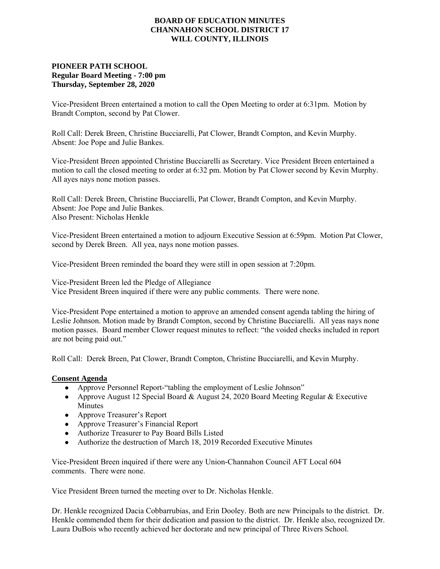## **BOARD OF EDUCATION MINUTES CHANNAHON SCHOOL DISTRICT 17 WILL COUNTY, ILLINOIS**

## **PIONEER PATH SCHOOL Regular Board Meeting - 7:00 pm Thursday, September 28, 2020**

Vice-President Breen entertained a motion to call the Open Meeting to order at 6:31pm. Motion by Brandt Compton, second by Pat Clower.

Roll Call: Derek Breen, Christine Bucciarelli, Pat Clower, Brandt Compton, and Kevin Murphy. Absent: Joe Pope and Julie Bankes.

Vice-President Breen appointed Christine Bucciarelli as Secretary. Vice President Breen entertained a motion to call the closed meeting to order at 6:32 pm. Motion by Pat Clower second by Kevin Murphy. All ayes nays none motion passes.

Roll Call: Derek Breen, Christine Bucciarelli, Pat Clower, Brandt Compton, and Kevin Murphy. Absent: Joe Pope and Julie Bankes. Also Present: Nicholas Henkle

Vice-President Breen entertained a motion to adjourn Executive Session at 6:59pm. Motion Pat Clower, second by Derek Breen. All yea, nays none motion passes.

Vice-President Breen reminded the board they were still in open session at 7:20pm.

Vice-President Breen led the Pledge of Allegiance Vice President Breen inquired if there were any public comments. There were none.

Vice-President Pope entertained a motion to approve an amended consent agenda tabling the hiring of Leslie Johnson. Motion made by Brandt Compton, second by Christine Bucciarelli. All yeas nays none motion passes. Board member Clower request minutes to reflect: "the voided checks included in report are not being paid out."

Roll Call: Derek Breen, Pat Clower, Brandt Compton, Christine Bucciarelli, and Kevin Murphy.

## **Consent Agenda**

- Approve Personnel Report-"tabling the employment of Leslie Johnson"
- Approve August 12 Special Board & August 24, 2020 Board Meeting Regular & Executive Minutes
- Approve Treasurer's Report
- Approve Treasurer's Financial Report
- Authorize Treasurer to Pay Board Bills Listed
- Authorize the destruction of March 18, 2019 Recorded Executive Minutes

Vice-President Breen inquired if there were any Union-Channahon Council AFT Local 604 comments. There were none.

Vice President Breen turned the meeting over to Dr. Nicholas Henkle.

Dr. Henkle recognized Dacia Cobbarrubias, and Erin Dooley. Both are new Principals to the district. Dr. Henkle commended them for their dedication and passion to the district. Dr. Henkle also, recognized Dr. Laura DuBois who recently achieved her doctorate and new principal of Three Rivers School.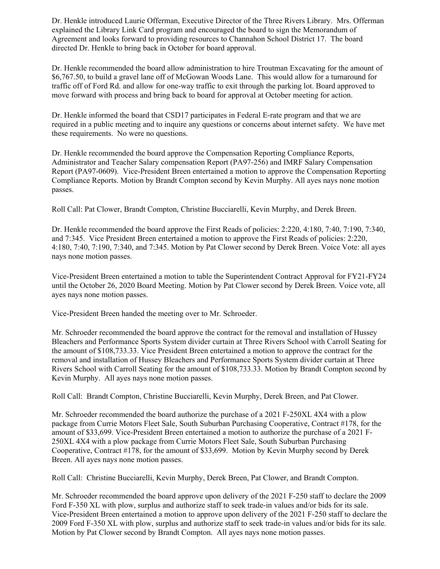Dr. Henkle introduced Laurie Offerman, Executive Director of the Three Rivers Library. Mrs. Offerman explained the Library Link Card program and encouraged the board to sign the Memorandum of Agreement and looks forward to providing resources to Channahon School District 17. The board directed Dr. Henkle to bring back in October for board approval.

Dr. Henkle recommended the board allow administration to hire Troutman Excavating for the amount of \$6,767.50, to build a gravel lane off of McGowan Woods Lane. This would allow for a turnaround for traffic off of Ford Rd. and allow for one-way traffic to exit through the parking lot. Board approved to move forward with process and bring back to board for approval at October meeting for action.

Dr. Henkle informed the board that CSD17 participates in Federal E-rate program and that we are required in a public meeting and to inquire any questions or concerns about internet safety. We have met these requirements. No were no questions.

Dr. Henkle recommended the board approve the Compensation Reporting Compliance Reports, Administrator and Teacher Salary compensation Report (PA97-256) and IMRF Salary Compensation Report (PA97-0609). Vice-President Breen entertained a motion to approve the Compensation Reporting Compliance Reports. Motion by Brandt Compton second by Kevin Murphy. All ayes nays none motion passes.

Roll Call: Pat Clower, Brandt Compton, Christine Bucciarelli, Kevin Murphy, and Derek Breen.

Dr. Henkle recommended the board approve the First Reads of policies: 2:220, 4:180, 7:40, 7:190, 7:340, and 7:345. Vice President Breen entertained a motion to approve the First Reads of policies: 2:220, 4:180, 7:40, 7:190, 7:340, and 7:345. Motion by Pat Clower second by Derek Breen. Voice Vote: all ayes nays none motion passes.

Vice-President Breen entertained a motion to table the Superintendent Contract Approval for FY21-FY24 until the October 26, 2020 Board Meeting. Motion by Pat Clower second by Derek Breen. Voice vote, all ayes nays none motion passes.

Vice-President Breen handed the meeting over to Mr. Schroeder.

Mr. Schroeder recommended the board approve the contract for the removal and installation of Hussey Bleachers and Performance Sports System divider curtain at Three Rivers School with Carroll Seating for the amount of \$108,733.33. Vice President Breen entertained a motion to approve the contract for the removal and installation of Hussey Bleachers and Performance Sports System divider curtain at Three Rivers School with Carroll Seating for the amount of \$108,733.33. Motion by Brandt Compton second by Kevin Murphy. All ayes nays none motion passes.

Roll Call: Brandt Compton, Christine Bucciarelli, Kevin Murphy, Derek Breen, and Pat Clower.

Mr. Schroeder recommended the board authorize the purchase of a 2021 F-250XL 4X4 with a plow package from Currie Motors Fleet Sale, South Suburban Purchasing Cooperative, Contract #178, for the amount of \$33,699. Vice-President Breen entertained a motion to authorize the purchase of a 2021 F-250XL 4X4 with a plow package from Currie Motors Fleet Sale, South Suburban Purchasing Cooperative, Contract #178, for the amount of \$33,699. Motion by Kevin Murphy second by Derek Breen. All ayes nays none motion passes.

Roll Call: Christine Bucciarelli, Kevin Murphy, Derek Breen, Pat Clower, and Brandt Compton.

Mr. Schroeder recommended the board approve upon delivery of the 2021 F-250 staff to declare the 2009 Ford F-350 XL with plow, surplus and authorize staff to seek trade-in values and/or bids for its sale. Vice-President Breen entertained a motion to approve upon delivery of the 2021 F-250 staff to declare the 2009 Ford F-350 XL with plow, surplus and authorize staff to seek trade-in values and/or bids for its sale. Motion by Pat Clower second by Brandt Compton. All ayes nays none motion passes.